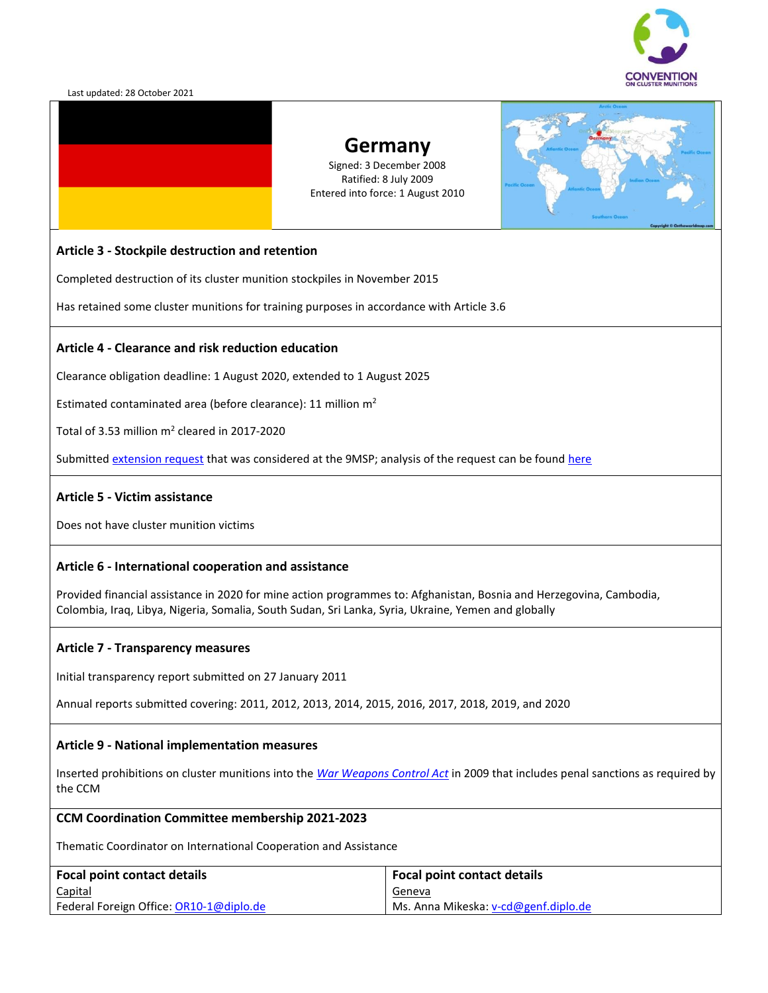

# **Germany**

Signed: 3 December 2008 Ratified: 8 July 2009 Entered into force: 1 August 2010



### **Article 3 - Stockpile destruction and retention**

Completed destruction of its cluster munition stockpiles in November 2015

Has retained some cluster munitions for training purposes in accordance with Article 3.6

### **Article 4 - Clearance and risk reduction education**

Clearance obligation deadline: 1 August 2020, extended to 1 August 2025

Estimated contaminated area (before clearance): 11 million  $m<sup>2</sup>$ 

Total of 3.53 million  $m^2$  cleared in 2017-2020

Submitte[d extension request](https://www.clusterconvention.org/er9msp/) that was considered at the 9MSP; analysis of the request can be found [here](http://www.clusterconvention.org/wp-content/uploads/2019/06/AnalysisofGermany%E2%80%99srequestofdeadlineextensionunderArticle4oftheConventiononClusterMunitionsENG.pdf)

### **Article 5 - Victim assistance**

Does not have cluster munition victims

### **Article 6 - International cooperation and assistance**

Provided financial assistance in 2020 for mine action programmes to: Afghanistan, Bosnia and Herzegovina, Cambodia, Colombia, Iraq, Libya, Nigeria, Somalia, South Sudan, Sri Lanka, Syria, Ukraine, Yemen and globally

### **Article 7 - Transparency measures**

Initial transparency report submitted on 27 January 2011

Annual reports submitted covering: 2011, 2012, 2013, 2014, 2015, 2016, 2017, 2018, 2019, and 2020

### **Article 9 - National implementation measures**

Inserted prohibitions on cluster munitions into the *[War Weapons Control Act](http://www.clusterconvention.org/wp-content/uploads/2018/10/Germany.pdf)* in 2009 that includes penal sanctions as required by the CCM

#### **CCM Coordination Committee membership 2021-2023**

Thematic Coordinator on International Cooperation and Assistance

| <b>Focal point contact details</b>      | <b>Focal point contact details</b>   |
|-----------------------------------------|--------------------------------------|
| <b>Capital</b>                          | <u>Geneva</u>                        |
| Federal Foreign Office: OR10-1@diplo.de | Ms. Anna Mikeska: v-cd@genf.diplo.de |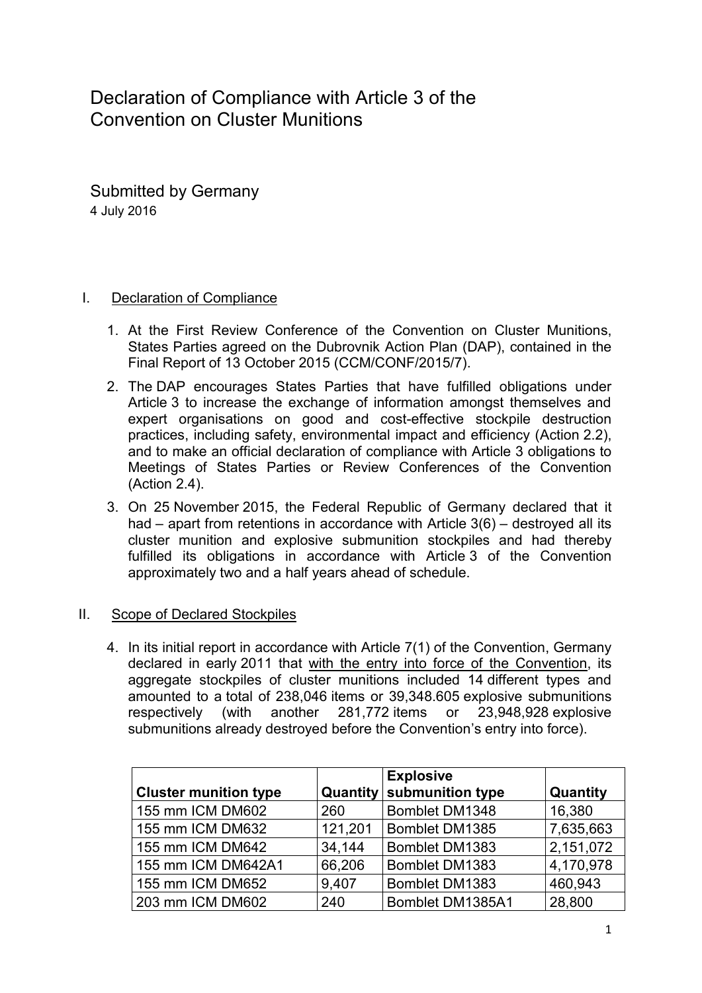Declaration of Compliance with Article 3 of the Convention on Cluster Munitions

Submitted by Germany 4 July 2016

# I. Declaration of Compliance

- 1. At the First Review Conference of the Convention on Cluster Munitions, States Parties agreed on the Dubrovnik Action Plan (DAP), contained in the Final Report of 13 October 2015 (CCM/CONF/2015/7).
- 2. The DAP encourages States Parties that have fulfilled obligations under Article 3 to increase the exchange of information amongst themselves and expert organisations on good and cost-effective stockpile destruction practices, including safety, environmental impact and efficiency (Action 2.2), and to make an official declaration of compliance with Article 3 obligations to Meetings of States Parties or Review Conferences of the Convention (Action 2.4).
- 3. On 25 November 2015, the Federal Republic of Germany declared that it had – apart from retentions in accordance with Article 3(6) – destroyed all its cluster munition and explosive submunition stockpiles and had thereby fulfilled its obligations in accordance with Article 3 of the Convention approximately two and a half years ahead of schedule.

# II. Scope of Declared Stockpiles

4. In its initial report in accordance with Article 7(1) of the Convention, Germany declared in early 2011 that with the entry into force of the Convention, its aggregate stockpiles of cluster munitions included 14 different types and amounted to a total of 238,046 items or 39,348.605 explosive submunitions respectively (with another 281,772 items or 23,948,928 explosive submunitions already destroyed before the Convention's entry into force).

|                              |          | <b>Explosive</b> |           |
|------------------------------|----------|------------------|-----------|
| <b>Cluster munition type</b> | Quantity | submunition type | Quantity  |
| 155 mm ICM DM602             | 260      | Bomblet DM1348   | 16,380    |
| 155 mm ICM DM632             | 121,201  | Bomblet DM1385   | 7,635,663 |
| 155 mm ICM DM642             | 34,144   | Bomblet DM1383   | 2,151,072 |
| 155 mm ICM DM642A1           | 66,206   | Bomblet DM1383   | 4,170,978 |
| 155 mm ICM DM652             | 9,407    | Bomblet DM1383   | 460,943   |
| 203 mm ICM DM602             | 240      | Bomblet DM1385A1 | 28,800    |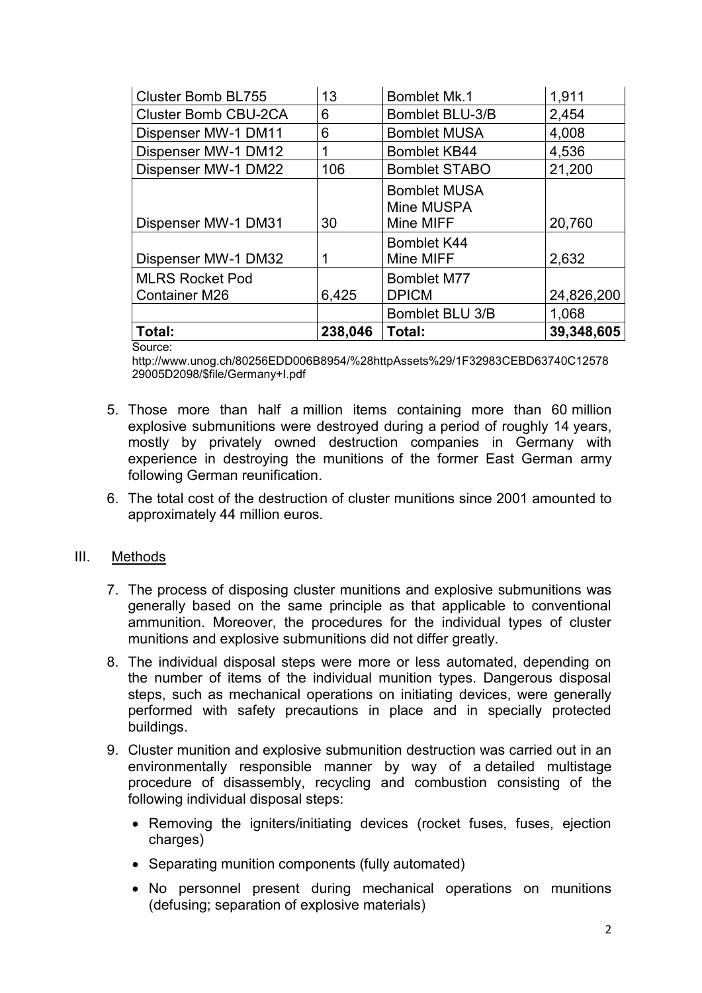| <b>Cluster Bomb BL755</b>                      | 13      | <b>Bomblet Mk.1</b>                            | 1,911      |
|------------------------------------------------|---------|------------------------------------------------|------------|
| <b>Cluster Bomb CBU-2CA</b>                    | 6       | Bomblet BLU-3/B                                | 2,454      |
| Dispenser MW-1 DM11                            | 6       | <b>Bomblet MUSA</b>                            | 4,008      |
| Dispenser MW-1 DM12                            |         | <b>Bomblet KB44</b>                            | 4,536      |
| Dispenser MW-1 DM22                            | 106     | <b>Bomblet STABO</b>                           | 21,200     |
| Dispenser MW-1 DM31                            | 30      | <b>Bomblet MUSA</b><br>Mine MUSPA<br>Mine MIFF | 20,760     |
|                                                |         |                                                |            |
| Dispenser MW-1 DM32                            |         | <b>Bomblet K44</b><br>Mine MIFF                | 2,632      |
| <b>MLRS Rocket Pod</b><br><b>Container M26</b> | 6,425   | <b>Bomblet M77</b><br><b>DPICM</b>             | 24,826,200 |
|                                                |         | Bomblet BLU 3/B                                | 1,068      |
| Total:                                         | 238,046 | Total:                                         | 39,348,605 |

Source:

[http://www.unog.ch/80256EDD006B8954/%28httpAssets%29/1F32983CEBD63740C12578](http://www.unog.ch/80256EDD006B8954/%28httpAssets%29/1F32983CEBD63740C1257829005D2098/$file/Germany+I.pdf) [29005D2098/\\$file/Germany+I.pdf](http://www.unog.ch/80256EDD006B8954/%28httpAssets%29/1F32983CEBD63740C1257829005D2098/$file/Germany+I.pdf)

- 5. Those more than half a million items containing more than 60 million explosive submunitions were destroyed during a period of roughly 14 years, mostly by privately owned destruction companies in Germany with experience in destroying the munitions of the former East German army following German reunification.
- 6. The total cost of the destruction of cluster munitions since 2001 amounted to approximately 44 million euros.

# III. Methods

- 7. The process of disposing cluster munitions and explosive submunitions was generally based on the same principle as that applicable to conventional ammunition. Moreover, the procedures for the individual types of cluster munitions and explosive submunitions did not differ greatly.
- 8. The individual disposal steps were more or less automated, depending on the number of items of the individual munition types. Dangerous disposal steps, such as mechanical operations on initiating devices, were generally performed with safety precautions in place and in specially protected buildings.
- 9. Cluster munition and explosive submunition destruction was carried out in an environmentally responsible manner by way of a detailed multistage procedure of disassembly, recycling and combustion consisting of the following individual disposal steps:
	- Removing the igniters/initiating devices (rocket fuses, fuses, ejection charges)
	- Separating munition components (fully automated)
	- No personnel present during mechanical operations on munitions (defusing; separation of explosive materials)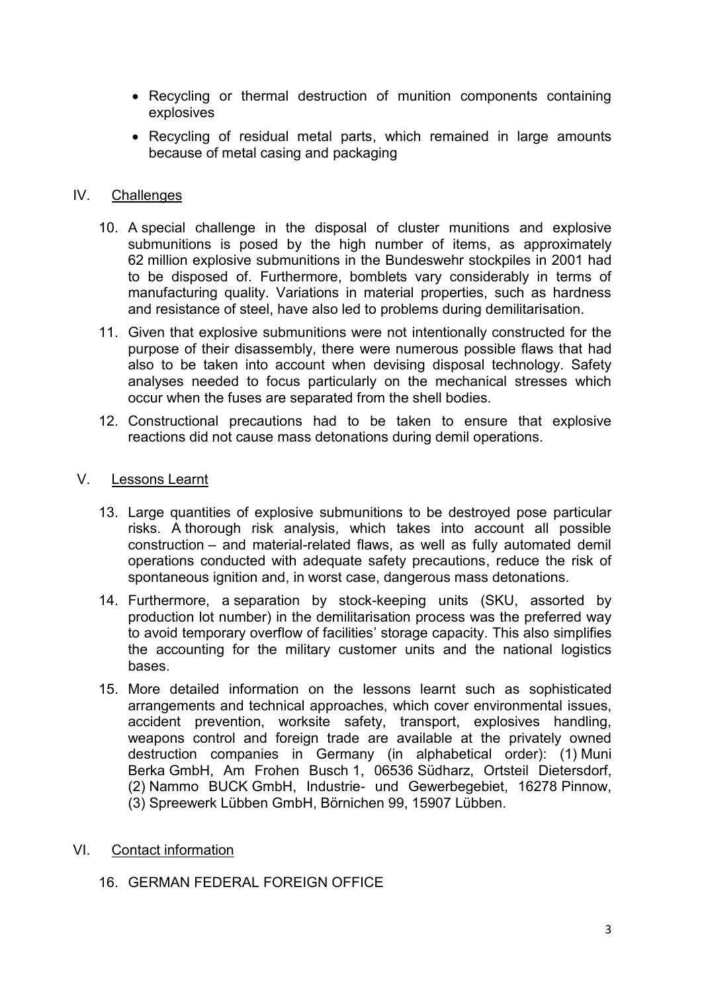- Recycling or thermal destruction of munition components containing explosives
- Recycling of residual metal parts, which remained in large amounts because of metal casing and packaging

## IV. Challenges

- 10. A special challenge in the disposal of cluster munitions and explosive submunitions is posed by the high number of items, as approximately 62 million explosive submunitions in the Bundeswehr stockpiles in 2001 had to be disposed of. Furthermore, bomblets vary considerably in terms of manufacturing quality. Variations in material properties, such as hardness and resistance of steel, have also led to problems during demilitarisation.
- 11. Given that explosive submunitions were not intentionally constructed for the purpose of their disassembly, there were numerous possible flaws that had also to be taken into account when devising disposal technology. Safety analyses needed to focus particularly on the mechanical stresses which occur when the fuses are separated from the shell bodies.
- 12. Constructional precautions had to be taken to ensure that explosive reactions did not cause mass detonations during demil operations.

### V. Lessons Learnt

- 13. Large quantities of explosive submunitions to be destroyed pose particular risks. A thorough risk analysis, which takes into account all possible construction – and material-related flaws, as well as fully automated demil operations conducted with adequate safety precautions, reduce the risk of spontaneous ignition and, in worst case, dangerous mass detonations.
- 14. Furthermore, a separation by stock-keeping units (SKU, assorted by production lot number) in the demilitarisation process was the preferred way to avoid temporary overflow of facilities' storage capacity. This also simplifies the accounting for the military customer units and the national logistics bases.
- 15. More detailed information on the lessons learnt such as sophisticated arrangements and technical approaches, which cover environmental issues, accident prevention, worksite safety, transport, explosives handling, weapons control and foreign trade are available at the privately owned destruction companies in Germany (in alphabetical order): (1) Muni Berka GmbH, Am Frohen Busch 1, 06536 Südharz, Ortsteil Dietersdorf, (2) Nammo BUCK GmbH, Industrie- und Gewerbegebiet, 16278 Pinnow, (3) Spreewerk Lübben GmbH, Börnichen 99, 15907 Lübben.

# VI. Contact information

# 16. GERMAN FEDERAL FOREIGN OFFICE